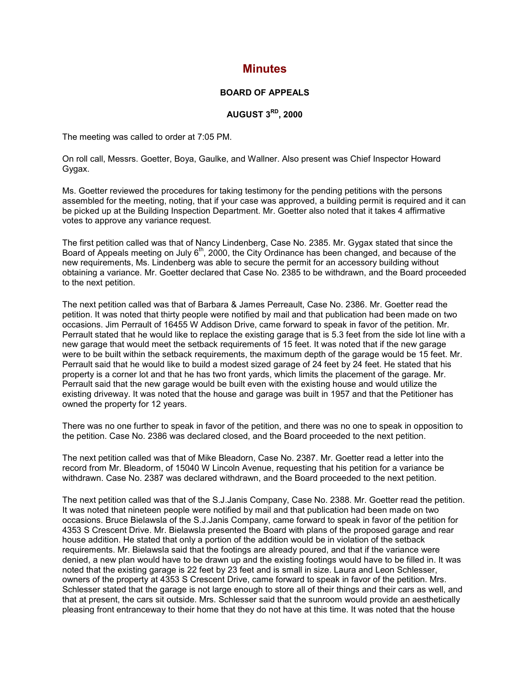## **Minutes**

## **BOARD OF APPEALS**

## **AUGUST 3RD, 2000**

The meeting was called to order at 7:05 PM.

On roll call, Messrs. Goetter, Boya, Gaulke, and Wallner. Also present was Chief Inspector Howard Gygax.

Ms. Goetter reviewed the procedures for taking testimony for the pending petitions with the persons assembled for the meeting, noting, that if your case was approved, a building permit is required and it can be picked up at the Building Inspection Department. Mr. Goetter also noted that it takes 4 affirmative votes to approve any variance request.

The first petition called was that of Nancy Lindenberg, Case No. 2385. Mr. Gygax stated that since the Board of Appeals meeting on July  $6<sup>th</sup>$ , 2000, the City Ordinance has been changed, and because of the new requirements, Ms. Lindenberg was able to secure the permit for an accessory building without obtaining a variance. Mr. Goetter declared that Case No. 2385 to be withdrawn, and the Board proceeded to the next petition.

The next petition called was that of Barbara & James Perreault, Case No. 2386. Mr. Goetter read the petition. It was noted that thirty people were notified by mail and that publication had been made on two occasions. Jim Perrault of 16455 W Addison Drive, came forward to speak in favor of the petition. Mr. Perrault stated that he would like to replace the existing garage that is 5.3 feet from the side lot line with a new garage that would meet the setback requirements of 15 feet. It was noted that if the new garage were to be built within the setback requirements, the maximum depth of the garage would be 15 feet. Mr. Perrault said that he would like to build a modest sized garage of 24 feet by 24 feet. He stated that his property is a corner lot and that he has two front yards, which limits the placement of the garage. Mr. Perrault said that the new garage would be built even with the existing house and would utilize the existing driveway. It was noted that the house and garage was built in 1957 and that the Petitioner has owned the property for 12 years.

There was no one further to speak in favor of the petition, and there was no one to speak in opposition to the petition. Case No. 2386 was declared closed, and the Board proceeded to the next petition.

The next petition called was that of Mike Bleadorn, Case No. 2387. Mr. Goetter read a letter into the record from Mr. Bleadorm, of 15040 W Lincoln Avenue, requesting that his petition for a variance be withdrawn. Case No. 2387 was declared withdrawn, and the Board proceeded to the next petition.

The next petition called was that of the S.J.Janis Company, Case No. 2388. Mr. Goetter read the petition. It was noted that nineteen people were notified by mail and that publication had been made on two occasions. Bruce Bielawsla of the S.J.Janis Company, came forward to speak in favor of the petition for 4353 S Crescent Drive. Mr. Bielawsla presented the Board with plans of the proposed garage and rear house addition. He stated that only a portion of the addition would be in violation of the setback requirements. Mr. Bielawsla said that the footings are already poured, and that if the variance were denied, a new plan would have to be drawn up and the existing footings would have to be filled in. It was noted that the existing garage is 22 feet by 23 feet and is small in size. Laura and Leon Schlesser, owners of the property at 4353 S Crescent Drive, came forward to speak in favor of the petition. Mrs. Schlesser stated that the garage is not large enough to store all of their things and their cars as well, and that at present, the cars sit outside. Mrs. Schlesser said that the sunroom would provide an aesthetically pleasing front entranceway to their home that they do not have at this time. It was noted that the house